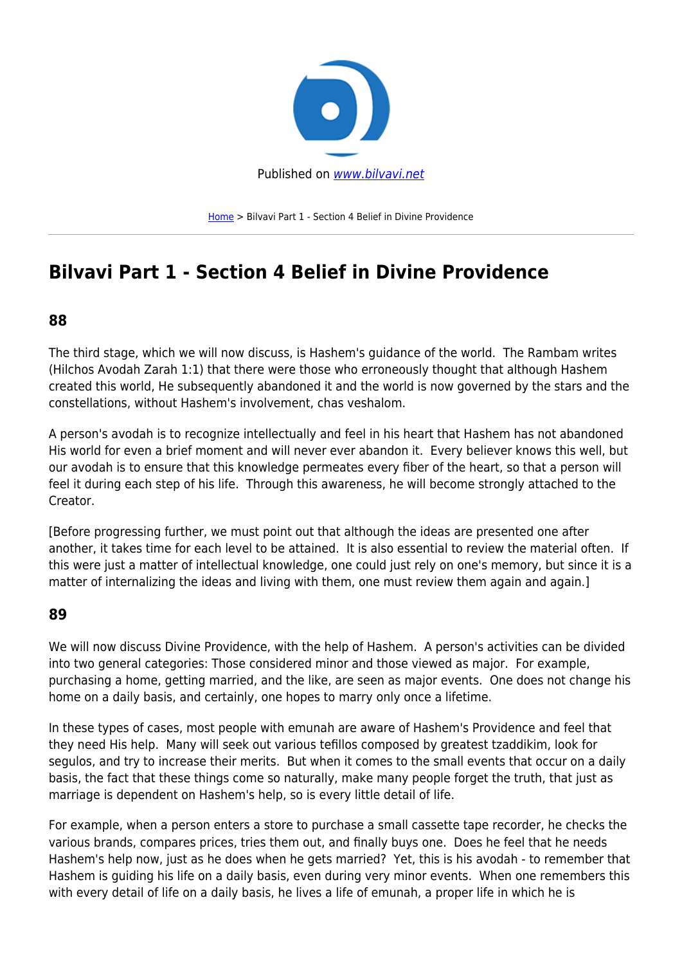

[Home](https://bilvavi.net/) > Bilvavi Part 1 - Section 4 Belief in Divine Providence

# **Bilvavi Part 1 - Section 4 Belief in Divine Providence**

#### **88**

The third stage, which we will now discuss, is Hashem's guidance of the world. The Rambam writes (Hilchos Avodah Zarah 1:1) that there were those who erroneously thought that although Hashem created this world, He subsequently abandoned it and the world is now governed by the stars and the constellations, without Hashem's involvement, chas veshalom.

A person's avodah is to recognize intellectually and feel in his heart that Hashem has not abandoned His world for even a brief moment and will never ever abandon it. Every believer knows this well, but our avodah is to ensure that this knowledge permeates every fiber of the heart, so that a person will feel it during each step of his life. Through this awareness, he will become strongly attached to the Creator.

[Before progressing further, we must point out that although the ideas are presented one after another, it takes time for each level to be attained. It is also essential to review the material often. If this were just a matter of intellectual knowledge, one could just rely on one's memory, but since it is a matter of internalizing the ideas and living with them, one must review them again and again.]

#### **89**

We will now discuss Divine Providence, with the help of Hashem. A person's activities can be divided into two general categories: Those considered minor and those viewed as major. For example, purchasing a home, getting married, and the like, are seen as major events. One does not change his home on a daily basis, and certainly, one hopes to marry only once a lifetime.

In these types of cases, most people with emunah are aware of Hashem's Providence and feel that they need His help. Many will seek out various tefillos composed by greatest tzaddikim, look for segulos, and try to increase their merits. But when it comes to the small events that occur on a daily basis, the fact that these things come so naturally, make many people forget the truth, that just as marriage is dependent on Hashem's help, so is every little detail of life.

For example, when a person enters a store to purchase a small cassette tape recorder, he checks the various brands, compares prices, tries them out, and finally buys one. Does he feel that he needs Hashem's help now, just as he does when he gets married? Yet, this is his avodah - to remember that Hashem is guiding his life on a daily basis, even during very minor events. When one remembers this with every detail of life on a daily basis, he lives a life of emunah, a proper life in which he is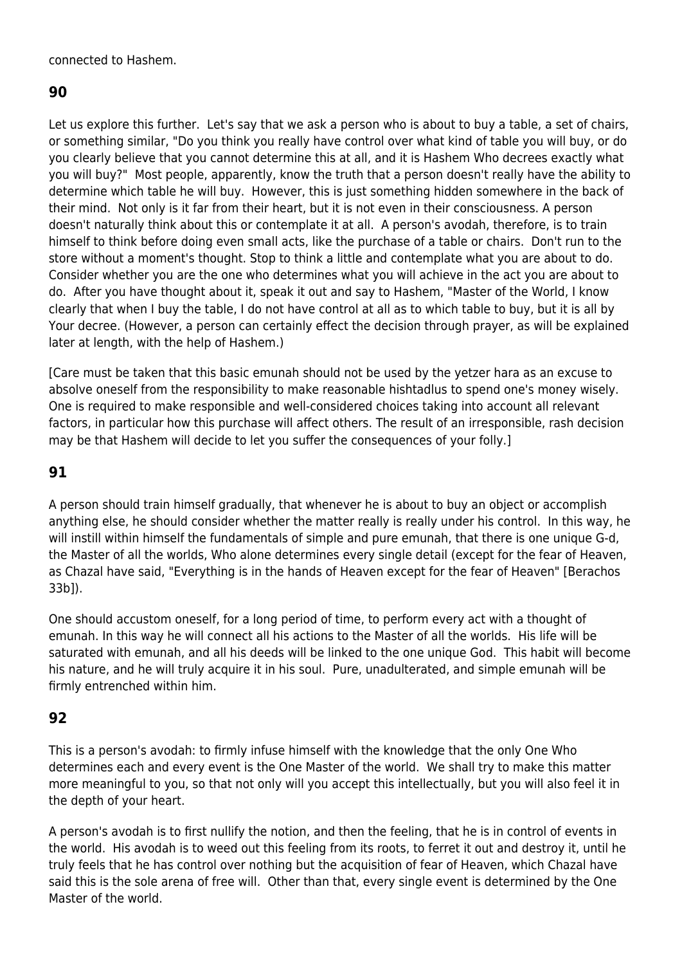#### connected to Hashem.

#### **90**

Let us explore this further. Let's say that we ask a person who is about to buy a table, a set of chairs, or something similar, "Do you think you really have control over what kind of table you will buy, or do you clearly believe that you cannot determine this at all, and it is Hashem Who decrees exactly what you will buy?" Most people, apparently, know the truth that a person doesn't really have the ability to determine which table he will buy. However, this is just something hidden somewhere in the back of their mind. Not only is it far from their heart, but it is not even in their consciousness. A person doesn't naturally think about this or contemplate it at all. A person's avodah, therefore, is to train himself to think before doing even small acts, like the purchase of a table or chairs. Don't run to the store without a moment's thought. Stop to think a little and contemplate what you are about to do. Consider whether you are the one who determines what you will achieve in the act you are about to do. After you have thought about it, speak it out and say to Hashem, "Master of the World, I know clearly that when I buy the table, I do not have control at all as to which table to buy, but it is all by Your decree. (However, a person can certainly effect the decision through prayer, as will be explained later at length, with the help of Hashem.)

[Care must be taken that this basic emunah should not be used by the yetzer hara as an excuse to absolve oneself from the responsibility to make reasonable hishtadlus to spend one's money wisely. One is required to make responsible and well-considered choices taking into account all relevant factors, in particular how this purchase will affect others. The result of an irresponsible, rash decision may be that Hashem will decide to let you suffer the consequences of your folly.]

#### **91**

A person should train himself gradually, that whenever he is about to buy an object or accomplish anything else, he should consider whether the matter really is really under his control. In this way, he will instill within himself the fundamentals of simple and pure emunah, that there is one unique G-d, the Master of all the worlds, Who alone determines every single detail (except for the fear of Heaven, as Chazal have said, "Everything is in the hands of Heaven except for the fear of Heaven" [Berachos 33b]).

One should accustom oneself, for a long period of time, to perform every act with a thought of emunah. In this way he will connect all his actions to the Master of all the worlds. His life will be saturated with emunah, and all his deeds will be linked to the one unique God. This habit will become his nature, and he will truly acquire it in his soul. Pure, unadulterated, and simple emunah will be firmly entrenched within him.

#### **92**

This is a person's avodah: to firmly infuse himself with the knowledge that the only One Who determines each and every event is the One Master of the world. We shall try to make this matter more meaningful to you, so that not only will you accept this intellectually, but you will also feel it in the depth of your heart.

A person's avodah is to first nullify the notion, and then the feeling, that he is in control of events in the world. His avodah is to weed out this feeling from its roots, to ferret it out and destroy it, until he truly feels that he has control over nothing but the acquisition of fear of Heaven, which Chazal have said this is the sole arena of free will. Other than that, every single event is determined by the One Master of the world.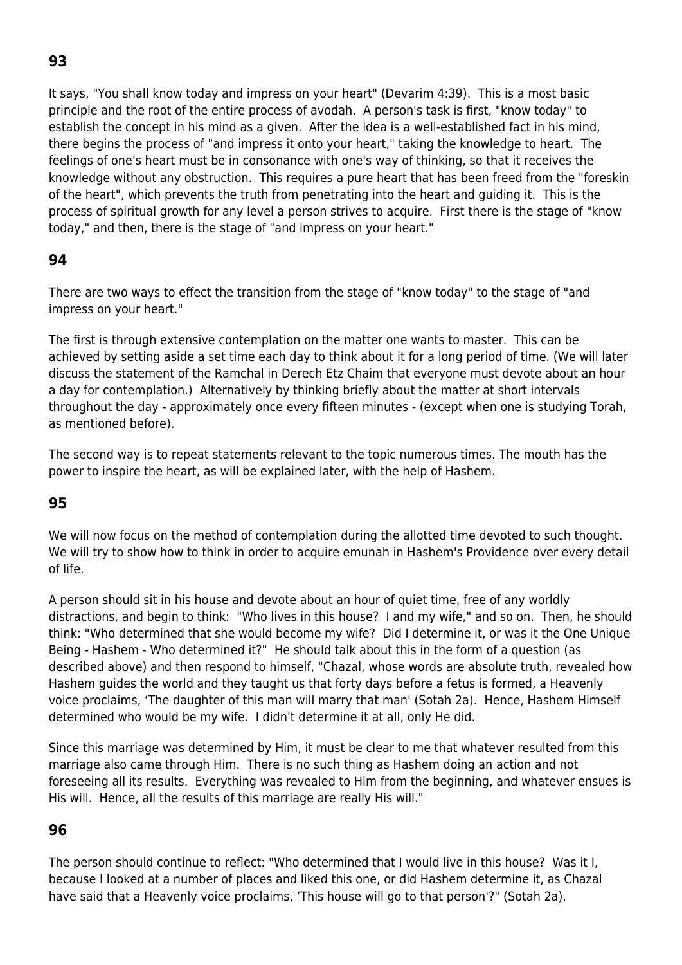## **93**

It says, "You shall know today and impress on your heart" (Devarim 4:39). This is a most basic principle and the root of the entire process of avodah. A person's task is first, "know today" to establish the concept in his mind as a given. After the idea is a well-established fact in his mind, there begins the process of "and impress it onto your heart," taking the knowledge to heart. The feelings of one's heart must be in consonance with one's way of thinking, so that it receives the knowledge without any obstruction. This requires a pure heart that has been freed from the "foreskin of the heart", which prevents the truth from penetrating into the heart and guiding it. This is the process of spiritual growth for any level a person strives to acquire. First there is the stage of "know today," and then, there is the stage of "and impress on your heart."

### **94**

There are two ways to effect the transition from the stage of "know today" to the stage of "and impress on your heart."

The first is through extensive contemplation on the matter one wants to master. This can be achieved by setting aside a set time each day to think about it for a long period of time. (We will later discuss the statement of the Ramchal in Derech Etz Chaim that everyone must devote about an hour a day for contemplation.) Alternatively by thinking briefly about the matter at short intervals throughout the day - approximately once every fifteen minutes - (except when one is studying Torah, as mentioned before).

The second way is to repeat statements relevant to the topic numerous times. The mouth has the power to inspire the heart, as will be explained later, with the help of Hashem.

### **95**

We will now focus on the method of contemplation during the allotted time devoted to such thought. We will try to show how to think in order to acquire emunah in Hashem's Providence over every detail of life.

A person should sit in his house and devote about an hour of quiet time, free of any worldly distractions, and begin to think: "Who lives in this house? I and my wife," and so on. Then, he should think: "Who determined that she would become my wife? Did I determine it, or was it the One Unique Being - Hashem - Who determined it?" He should talk about this in the form of a question (as described above) and then respond to himself, "Chazal, whose words are absolute truth, revealed how Hashem guides the world and they taught us that forty days before a fetus is formed, a Heavenly voice proclaims, 'The daughter of this man will marry that man' (Sotah 2a). Hence, Hashem Himself determined who would be my wife. I didn't determine it at all, only He did.

Since this marriage was determined by Him, it must be clear to me that whatever resulted from this marriage also came through Him. There is no such thing as Hashem doing an action and not foreseeing all its results. Everything was revealed to Him from the beginning, and whatever ensues is His will. Hence, all the results of this marriage are really His will."

#### **96**

The person should continue to reflect: "Who determined that I would live in this house? Was it I, because I looked at a number of places and liked this one, or did Hashem determine it, as Chazal have said that a Heavenly voice proclaims, 'This house will go to that person'?" (Sotah 2a).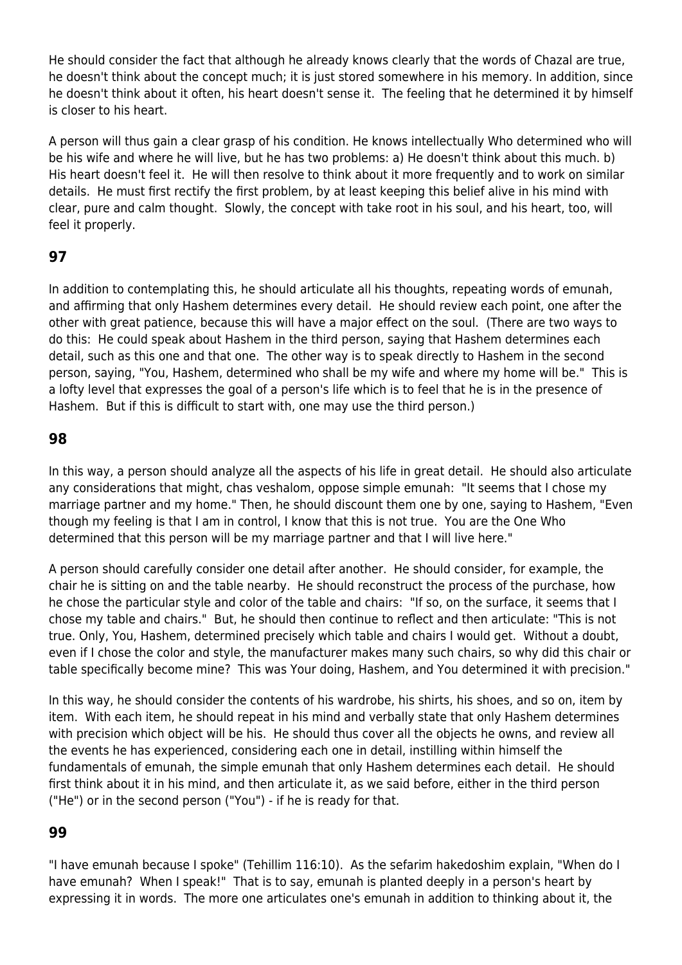He should consider the fact that although he already knows clearly that the words of Chazal are true, he doesn't think about the concept much; it is just stored somewhere in his memory. In addition, since he doesn't think about it often, his heart doesn't sense it. The feeling that he determined it by himself is closer to his heart.

A person will thus gain a clear grasp of his condition. He knows intellectually Who determined who will be his wife and where he will live, but he has two problems: a) He doesn't think about this much. b) His heart doesn't feel it. He will then resolve to think about it more frequently and to work on similar details. He must first rectify the first problem, by at least keeping this belief alive in his mind with clear, pure and calm thought. Slowly, the concept with take root in his soul, and his heart, too, will feel it properly.

#### **97**

In addition to contemplating this, he should articulate all his thoughts, repeating words of emunah, and affirming that only Hashem determines every detail. He should review each point, one after the other with great patience, because this will have a major effect on the soul. (There are two ways to do this: He could speak about Hashem in the third person, saying that Hashem determines each detail, such as this one and that one. The other way is to speak directly to Hashem in the second person, saying, "You, Hashem, determined who shall be my wife and where my home will be." This is a lofty level that expresses the goal of a person's life which is to feel that he is in the presence of Hashem. But if this is difficult to start with, one may use the third person.)

#### **98**

In this way, a person should analyze all the aspects of his life in great detail. He should also articulate any considerations that might, chas veshalom, oppose simple emunah: "It seems that I chose my marriage partner and my home." Then, he should discount them one by one, saying to Hashem, "Even though my feeling is that I am in control, I know that this is not true. You are the One Who determined that this person will be my marriage partner and that I will live here."

A person should carefully consider one detail after another. He should consider, for example, the chair he is sitting on and the table nearby. He should reconstruct the process of the purchase, how he chose the particular style and color of the table and chairs: "If so, on the surface, it seems that I chose my table and chairs." But, he should then continue to reflect and then articulate: "This is not true. Only, You, Hashem, determined precisely which table and chairs I would get. Without a doubt, even if I chose the color and style, the manufacturer makes many such chairs, so why did this chair or table specifically become mine? This was Your doing, Hashem, and You determined it with precision."

In this way, he should consider the contents of his wardrobe, his shirts, his shoes, and so on, item by item. With each item, he should repeat in his mind and verbally state that only Hashem determines with precision which object will be his. He should thus cover all the objects he owns, and review all the events he has experienced, considering each one in detail, instilling within himself the fundamentals of emunah, the simple emunah that only Hashem determines each detail. He should first think about it in his mind, and then articulate it, as we said before, either in the third person ("He") or in the second person ("You") - if he is ready for that.

#### **99**

"I have emunah because I spoke" (Tehillim 116:10). As the sefarim hakedoshim explain, "When do I have emunah? When I speak!" That is to say, emunah is planted deeply in a person's heart by expressing it in words. The more one articulates one's emunah in addition to thinking about it, the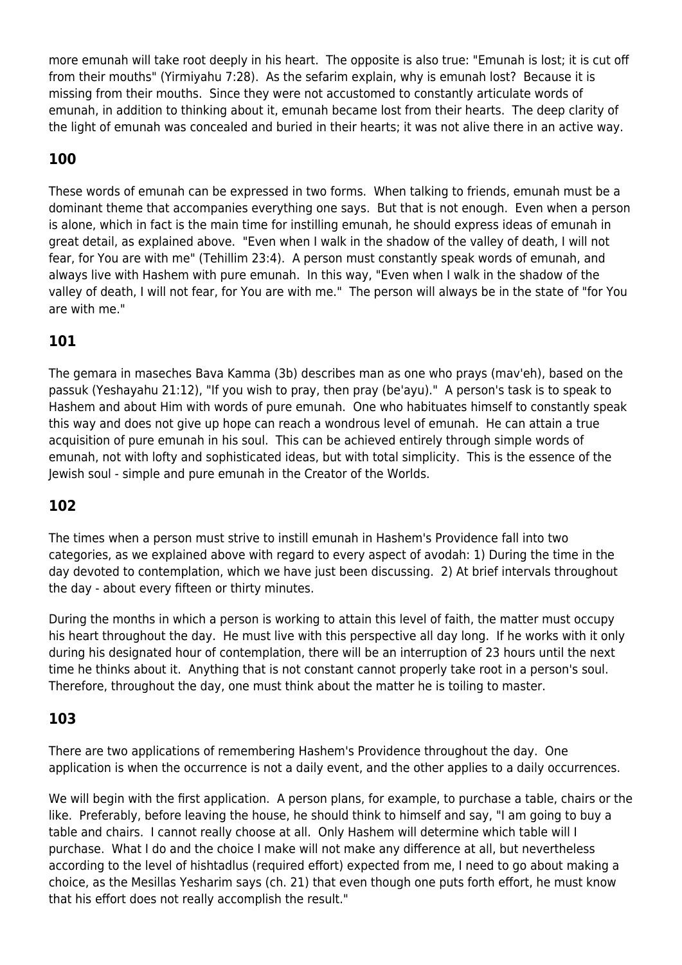more emunah will take root deeply in his heart. The opposite is also true: "Emunah is lost; it is cut off from their mouths" (Yirmiyahu 7:28). As the sefarim explain, why is emunah lost? Because it is missing from their mouths. Since they were not accustomed to constantly articulate words of emunah, in addition to thinking about it, emunah became lost from their hearts. The deep clarity of the light of emunah was concealed and buried in their hearts; it was not alive there in an active way.

## **100**

These words of emunah can be expressed in two forms. When talking to friends, emunah must be a dominant theme that accompanies everything one says. But that is not enough. Even when a person is alone, which in fact is the main time for instilling emunah, he should express ideas of emunah in great detail, as explained above. "Even when I walk in the shadow of the valley of death, I will not fear, for You are with me" (Tehillim 23:4). A person must constantly speak words of emunah, and always live with Hashem with pure emunah. In this way, "Even when I walk in the shadow of the valley of death, I will not fear, for You are with me." The person will always be in the state of "for You are with me."

### **101**

The gemara in maseches Bava Kamma (3b) describes man as one who prays (mav'eh), based on the passuk (Yeshayahu 21:12), "If you wish to pray, then pray (be'ayu)." A person's task is to speak to Hashem and about Him with words of pure emunah. One who habituates himself to constantly speak this way and does not give up hope can reach a wondrous level of emunah. He can attain a true acquisition of pure emunah in his soul. This can be achieved entirely through simple words of emunah, not with lofty and sophisticated ideas, but with total simplicity. This is the essence of the Jewish soul - simple and pure emunah in the Creator of the Worlds.

### **102**

The times when a person must strive to instill emunah in Hashem's Providence fall into two categories, as we explained above with regard to every aspect of avodah: 1) During the time in the day devoted to contemplation, which we have just been discussing. 2) At brief intervals throughout the day - about every fifteen or thirty minutes.

During the months in which a person is working to attain this level of faith, the matter must occupy his heart throughout the day. He must live with this perspective all day long. If he works with it only during his designated hour of contemplation, there will be an interruption of 23 hours until the next time he thinks about it. Anything that is not constant cannot properly take root in a person's soul. Therefore, throughout the day, one must think about the matter he is toiling to master.

#### **103**

There are two applications of remembering Hashem's Providence throughout the day. One application is when the occurrence is not a daily event, and the other applies to a daily occurrences.

We will begin with the first application. A person plans, for example, to purchase a table, chairs or the like. Preferably, before leaving the house, he should think to himself and say, "I am going to buy a table and chairs. I cannot really choose at all. Only Hashem will determine which table will I purchase. What I do and the choice I make will not make any difference at all, but nevertheless according to the level of hishtadlus (required effort) expected from me, I need to go about making a choice, as the Mesillas Yesharim says (ch. 21) that even though one puts forth effort, he must know that his effort does not really accomplish the result."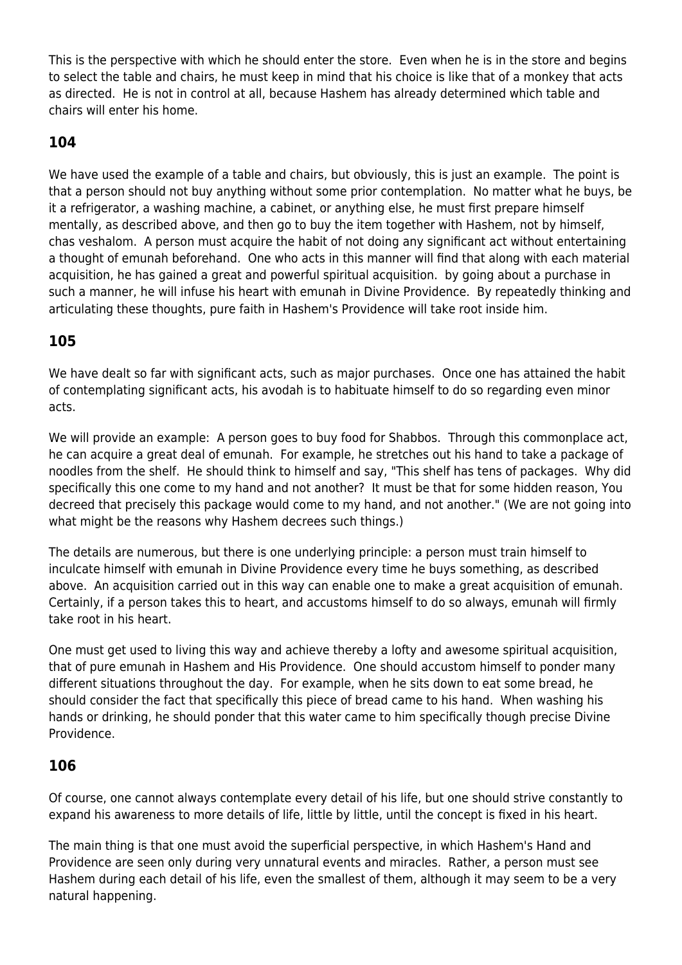This is the perspective with which he should enter the store. Even when he is in the store and begins to select the table and chairs, he must keep in mind that his choice is like that of a monkey that acts as directed. He is not in control at all, because Hashem has already determined which table and chairs will enter his home.

### **104**

We have used the example of a table and chairs, but obviously, this is just an example. The point is that a person should not buy anything without some prior contemplation. No matter what he buys, be it a refrigerator, a washing machine, a cabinet, or anything else, he must first prepare himself mentally, as described above, and then go to buy the item together with Hashem, not by himself, chas veshalom. A person must acquire the habit of not doing any significant act without entertaining a thought of emunah beforehand. One who acts in this manner will find that along with each material acquisition, he has gained a great and powerful spiritual acquisition. by going about a purchase in such a manner, he will infuse his heart with emunah in Divine Providence. By repeatedly thinking and articulating these thoughts, pure faith in Hashem's Providence will take root inside him.

### **105**

We have dealt so far with significant acts, such as major purchases. Once one has attained the habit of contemplating significant acts, his avodah is to habituate himself to do so regarding even minor acts.

We will provide an example: A person goes to buy food for Shabbos. Through this commonplace act, he can acquire a great deal of emunah. For example, he stretches out his hand to take a package of noodles from the shelf. He should think to himself and say, "This shelf has tens of packages. Why did specifically this one come to my hand and not another? It must be that for some hidden reason, You decreed that precisely this package would come to my hand, and not another." (We are not going into what might be the reasons why Hashem decrees such things.)

The details are numerous, but there is one underlying principle: a person must train himself to inculcate himself with emunah in Divine Providence every time he buys something, as described above. An acquisition carried out in this way can enable one to make a great acquisition of emunah. Certainly, if a person takes this to heart, and accustoms himself to do so always, emunah will firmly take root in his heart.

One must get used to living this way and achieve thereby a lofty and awesome spiritual acquisition, that of pure emunah in Hashem and His Providence. One should accustom himself to ponder many different situations throughout the day. For example, when he sits down to eat some bread, he should consider the fact that specifically this piece of bread came to his hand. When washing his hands or drinking, he should ponder that this water came to him specifically though precise Divine Providence.

### **106**

Of course, one cannot always contemplate every detail of his life, but one should strive constantly to expand his awareness to more details of life, little by little, until the concept is fixed in his heart.

The main thing is that one must avoid the superficial perspective, in which Hashem's Hand and Providence are seen only during very unnatural events and miracles. Rather, a person must see Hashem during each detail of his life, even the smallest of them, although it may seem to be a very natural happening.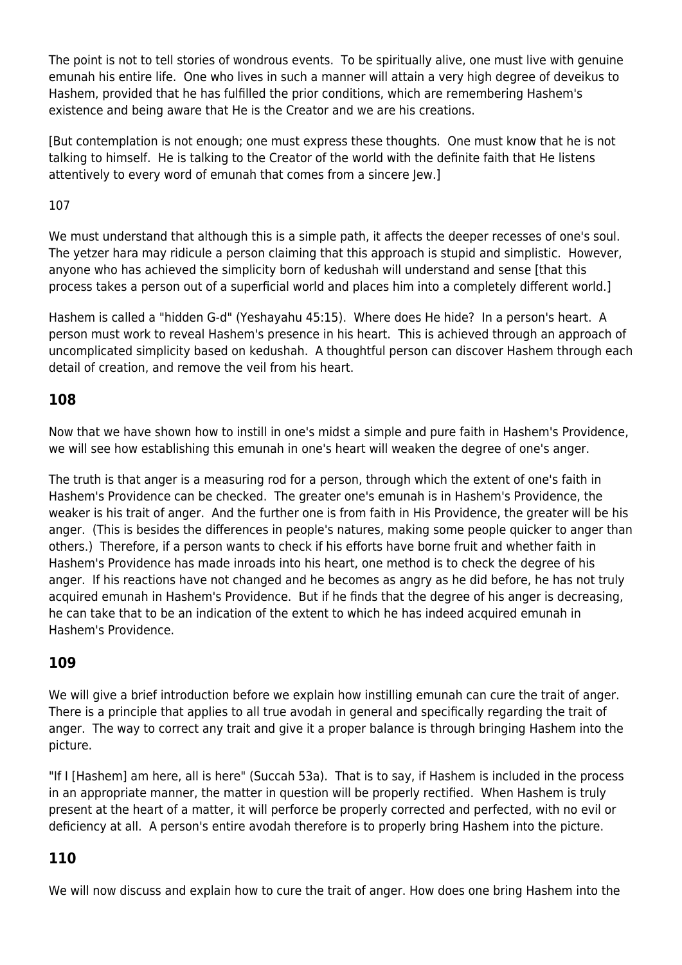The point is not to tell stories of wondrous events. To be spiritually alive, one must live with genuine emunah his entire life. One who lives in such a manner will attain a very high degree of deveikus to Hashem, provided that he has fulfilled the prior conditions, which are remembering Hashem's existence and being aware that He is the Creator and we are his creations.

[But contemplation is not enough; one must express these thoughts. One must know that he is not talking to himself. He is talking to the Creator of the world with the definite faith that He listens attentively to every word of emunah that comes from a sincere Jew.]

#### 107

We must understand that although this is a simple path, it affects the deeper recesses of one's soul. The yetzer hara may ridicule a person claiming that this approach is stupid and simplistic. However, anyone who has achieved the simplicity born of kedushah will understand and sense [that this process takes a person out of a superficial world and places him into a completely different world.]

Hashem is called a "hidden G-d" (Yeshayahu 45:15). Where does He hide? In a person's heart. A person must work to reveal Hashem's presence in his heart. This is achieved through an approach of uncomplicated simplicity based on kedushah. A thoughtful person can discover Hashem through each detail of creation, and remove the veil from his heart.

#### **108**

Now that we have shown how to instill in one's midst a simple and pure faith in Hashem's Providence, we will see how establishing this emunah in one's heart will weaken the degree of one's anger.

The truth is that anger is a measuring rod for a person, through which the extent of one's faith in Hashem's Providence can be checked. The greater one's emunah is in Hashem's Providence, the weaker is his trait of anger. And the further one is from faith in His Providence, the greater will be his anger. (This is besides the differences in people's natures, making some people quicker to anger than others.) Therefore, if a person wants to check if his efforts have borne fruit and whether faith in Hashem's Providence has made inroads into his heart, one method is to check the degree of his anger. If his reactions have not changed and he becomes as angry as he did before, he has not truly acquired emunah in Hashem's Providence. But if he finds that the degree of his anger is decreasing, he can take that to be an indication of the extent to which he has indeed acquired emunah in Hashem's Providence.

### **109**

We will give a brief introduction before we explain how instilling emunah can cure the trait of anger. There is a principle that applies to all true avodah in general and specifically regarding the trait of anger. The way to correct any trait and give it a proper balance is through bringing Hashem into the picture.

"If I [Hashem] am here, all is here" (Succah 53a). That is to say, if Hashem is included in the process in an appropriate manner, the matter in question will be properly rectified. When Hashem is truly present at the heart of a matter, it will perforce be properly corrected and perfected, with no evil or deficiency at all. A person's entire avodah therefore is to properly bring Hashem into the picture.

### **110**

We will now discuss and explain how to cure the trait of anger. How does one bring Hashem into the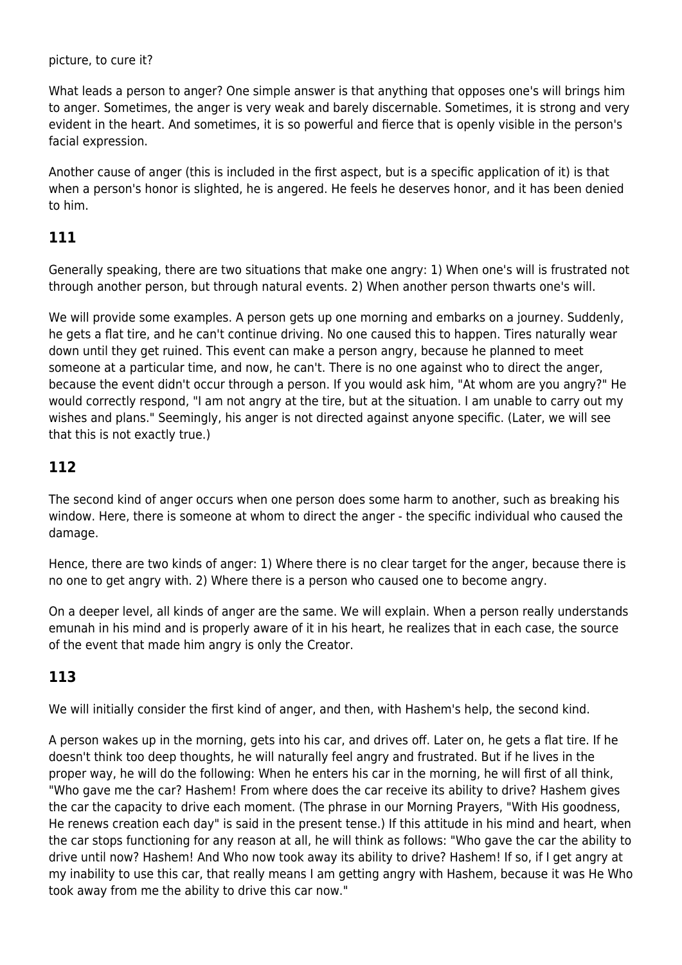picture, to cure it?

What leads a person to anger? One simple answer is that anything that opposes one's will brings him to anger. Sometimes, the anger is very weak and barely discernable. Sometimes, it is strong and very evident in the heart. And sometimes, it is so powerful and fierce that is openly visible in the person's facial expression.

Another cause of anger (this is included in the first aspect, but is a specific application of it) is that when a person's honor is slighted, he is angered. He feels he deserves honor, and it has been denied to him.

### **111**

Generally speaking, there are two situations that make one angry: 1) When one's will is frustrated not through another person, but through natural events. 2) When another person thwarts one's will.

We will provide some examples. A person gets up one morning and embarks on a journey. Suddenly, he gets a flat tire, and he can't continue driving. No one caused this to happen. Tires naturally wear down until they get ruined. This event can make a person angry, because he planned to meet someone at a particular time, and now, he can't. There is no one against who to direct the anger, because the event didn't occur through a person. If you would ask him, "At whom are you angry?" He would correctly respond, "I am not angry at the tire, but at the situation. I am unable to carry out my wishes and plans." Seemingly, his anger is not directed against anyone specific. (Later, we will see that this is not exactly true.)

#### **112**

The second kind of anger occurs when one person does some harm to another, such as breaking his window. Here, there is someone at whom to direct the anger - the specific individual who caused the damage.

Hence, there are two kinds of anger: 1) Where there is no clear target for the anger, because there is no one to get angry with. 2) Where there is a person who caused one to become angry.

On a deeper level, all kinds of anger are the same. We will explain. When a person really understands emunah in his mind and is properly aware of it in his heart, he realizes that in each case, the source of the event that made him angry is only the Creator.

### **113**

We will initially consider the first kind of anger, and then, with Hashem's help, the second kind.

A person wakes up in the morning, gets into his car, and drives off. Later on, he gets a flat tire. If he doesn't think too deep thoughts, he will naturally feel angry and frustrated. But if he lives in the proper way, he will do the following: When he enters his car in the morning, he will first of all think, "Who gave me the car? Hashem! From where does the car receive its ability to drive? Hashem gives the car the capacity to drive each moment. (The phrase in our Morning Prayers, "With His goodness, He renews creation each day" is said in the present tense.) If this attitude in his mind and heart, when the car stops functioning for any reason at all, he will think as follows: "Who gave the car the ability to drive until now? Hashem! And Who now took away its ability to drive? Hashem! If so, if I get angry at my inability to use this car, that really means I am getting angry with Hashem, because it was He Who took away from me the ability to drive this car now."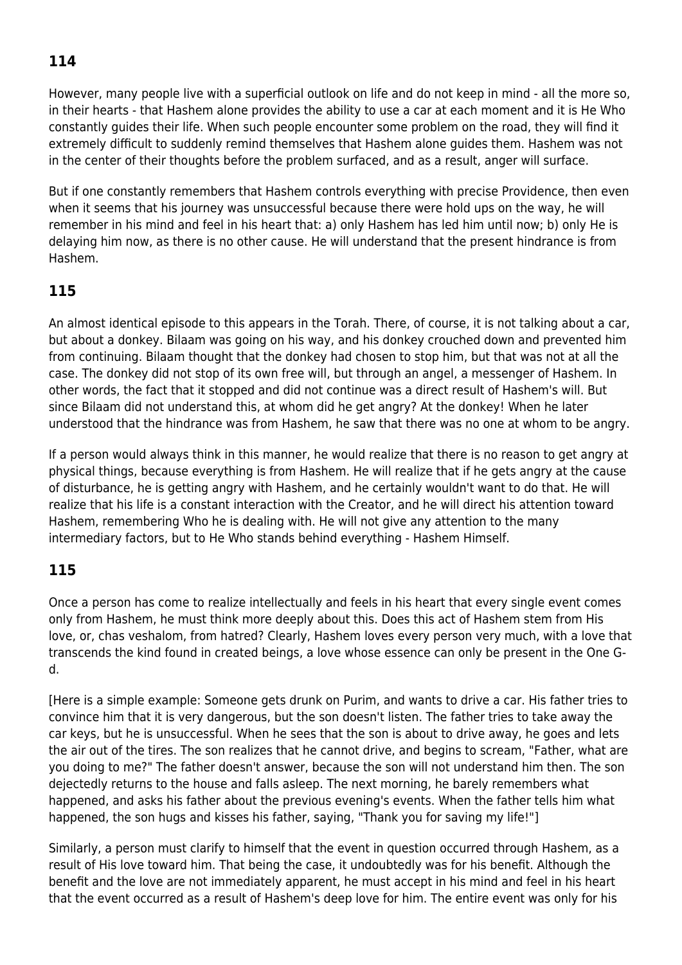## **114**

However, many people live with a superficial outlook on life and do not keep in mind - all the more so, in their hearts - that Hashem alone provides the ability to use a car at each moment and it is He Who constantly guides their life. When such people encounter some problem on the road, they will find it extremely difficult to suddenly remind themselves that Hashem alone guides them. Hashem was not in the center of their thoughts before the problem surfaced, and as a result, anger will surface.

But if one constantly remembers that Hashem controls everything with precise Providence, then even when it seems that his journey was unsuccessful because there were hold ups on the way, he will remember in his mind and feel in his heart that: a) only Hashem has led him until now; b) only He is delaying him now, as there is no other cause. He will understand that the present hindrance is from Hashem.

#### **115**

An almost identical episode to this appears in the Torah. There, of course, it is not talking about a car, but about a donkey. Bilaam was going on his way, and his donkey crouched down and prevented him from continuing. Bilaam thought that the donkey had chosen to stop him, but that was not at all the case. The donkey did not stop of its own free will, but through an angel, a messenger of Hashem. In other words, the fact that it stopped and did not continue was a direct result of Hashem's will. But since Bilaam did not understand this, at whom did he get angry? At the donkey! When he later understood that the hindrance was from Hashem, he saw that there was no one at whom to be angry.

If a person would always think in this manner, he would realize that there is no reason to get angry at physical things, because everything is from Hashem. He will realize that if he gets angry at the cause of disturbance, he is getting angry with Hashem, and he certainly wouldn't want to do that. He will realize that his life is a constant interaction with the Creator, and he will direct his attention toward Hashem, remembering Who he is dealing with. He will not give any attention to the many intermediary factors, but to He Who stands behind everything - Hashem Himself.

### **115**

Once a person has come to realize intellectually and feels in his heart that every single event comes only from Hashem, he must think more deeply about this. Does this act of Hashem stem from His love, or, chas veshalom, from hatred? Clearly, Hashem loves every person very much, with a love that transcends the kind found in created beings, a love whose essence can only be present in the One Gd.

[Here is a simple example: Someone gets drunk on Purim, and wants to drive a car. His father tries to convince him that it is very dangerous, but the son doesn't listen. The father tries to take away the car keys, but he is unsuccessful. When he sees that the son is about to drive away, he goes and lets the air out of the tires. The son realizes that he cannot drive, and begins to scream, "Father, what are you doing to me?" The father doesn't answer, because the son will not understand him then. The son dejectedly returns to the house and falls asleep. The next morning, he barely remembers what happened, and asks his father about the previous evening's events. When the father tells him what happened, the son hugs and kisses his father, saying, "Thank you for saving my life!"]

Similarly, a person must clarify to himself that the event in question occurred through Hashem, as a result of His love toward him. That being the case, it undoubtedly was for his benefit. Although the benefit and the love are not immediately apparent, he must accept in his mind and feel in his heart that the event occurred as a result of Hashem's deep love for him. The entire event was only for his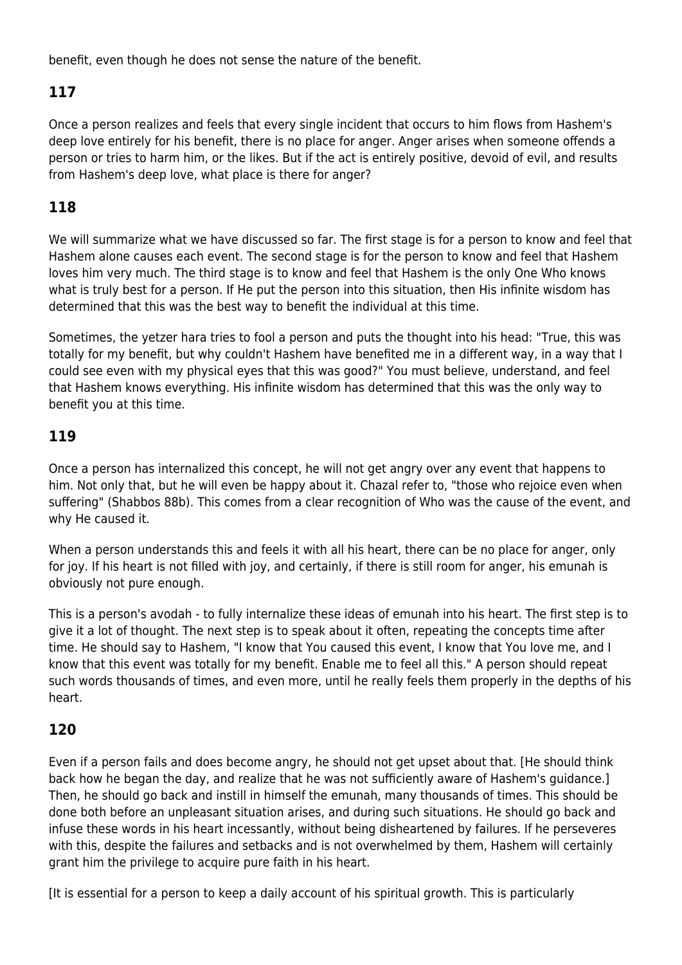benefit, even though he does not sense the nature of the benefit.

### **117**

Once a person realizes and feels that every single incident that occurs to him flows from Hashem's deep love entirely for his benefit, there is no place for anger. Anger arises when someone offends a person or tries to harm him, or the likes. But if the act is entirely positive, devoid of evil, and results from Hashem's deep love, what place is there for anger?

#### **118**

We will summarize what we have discussed so far. The first stage is for a person to know and feel that Hashem alone causes each event. The second stage is for the person to know and feel that Hashem loves him very much. The third stage is to know and feel that Hashem is the only One Who knows what is truly best for a person. If He put the person into this situation, then His infinite wisdom has determined that this was the best way to benefit the individual at this time.

Sometimes, the yetzer hara tries to fool a person and puts the thought into his head: "True, this was totally for my benefit, but why couldn't Hashem have benefited me in a different way, in a way that I could see even with my physical eyes that this was good?" You must believe, understand, and feel that Hashem knows everything. His infinite wisdom has determined that this was the only way to benefit you at this time.

#### **119**

Once a person has internalized this concept, he will not get angry over any event that happens to him. Not only that, but he will even be happy about it. Chazal refer to, "those who rejoice even when suffering" (Shabbos 88b). This comes from a clear recognition of Who was the cause of the event, and why He caused it.

When a person understands this and feels it with all his heart, there can be no place for anger, only for joy. If his heart is not filled with joy, and certainly, if there is still room for anger, his emunah is obviously not pure enough.

This is a person's avodah - to fully internalize these ideas of emunah into his heart. The first step is to give it a lot of thought. The next step is to speak about it often, repeating the concepts time after time. He should say to Hashem, "I know that You caused this event, I know that You love me, and I know that this event was totally for my benefit. Enable me to feel all this." A person should repeat such words thousands of times, and even more, until he really feels them properly in the depths of his heart.

#### **120**

Even if a person fails and does become angry, he should not get upset about that. [He should think back how he began the day, and realize that he was not sufficiently aware of Hashem's guidance.] Then, he should go back and instill in himself the emunah, many thousands of times. This should be done both before an unpleasant situation arises, and during such situations. He should go back and infuse these words in his heart incessantly, without being disheartened by failures. If he perseveres with this, despite the failures and setbacks and is not overwhelmed by them, Hashem will certainly grant him the privilege to acquire pure faith in his heart.

[It is essential for a person to keep a daily account of his spiritual growth. This is particularly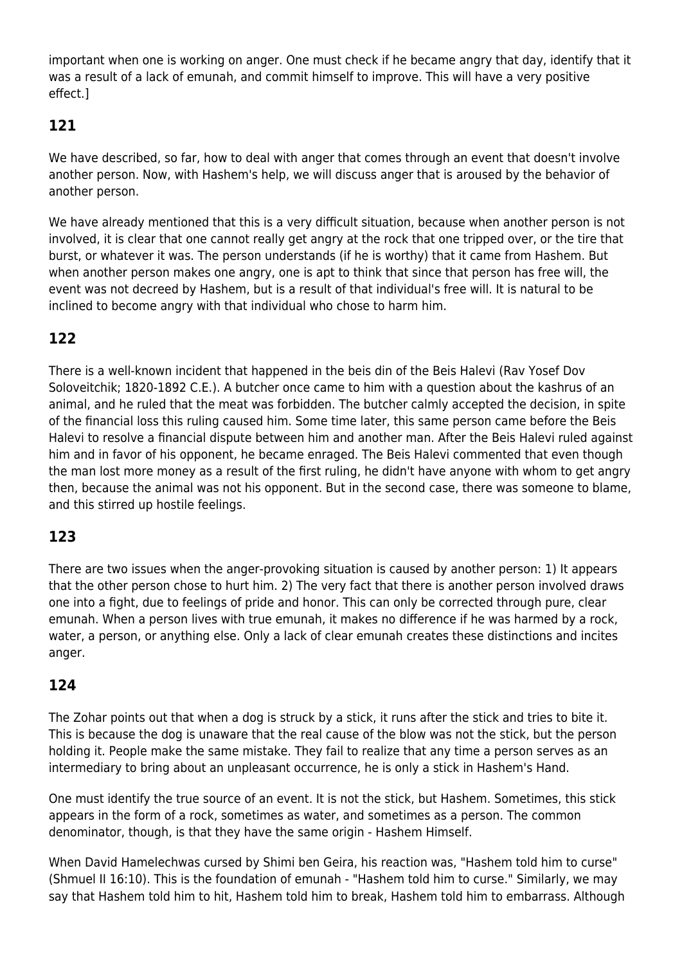important when one is working on anger. One must check if he became angry that day, identify that it was a result of a lack of emunah, and commit himself to improve. This will have a very positive effect.]

### **121**

We have described, so far, how to deal with anger that comes through an event that doesn't involve another person. Now, with Hashem's help, we will discuss anger that is aroused by the behavior of another person.

We have already mentioned that this is a very difficult situation, because when another person is not involved, it is clear that one cannot really get angry at the rock that one tripped over, or the tire that burst, or whatever it was. The person understands (if he is worthy) that it came from Hashem. But when another person makes one angry, one is apt to think that since that person has free will, the event was not decreed by Hashem, but is a result of that individual's free will. It is natural to be inclined to become angry with that individual who chose to harm him.

### **122**

There is a well-known incident that happened in the beis din of the Beis Halevi (Rav Yosef Dov Soloveitchik; 1820-1892 C.E.). A butcher once came to him with a question about the kashrus of an animal, and he ruled that the meat was forbidden. The butcher calmly accepted the decision, in spite of the financial loss this ruling caused him. Some time later, this same person came before the Beis Halevi to resolve a financial dispute between him and another man. After the Beis Halevi ruled against him and in favor of his opponent, he became enraged. The Beis Halevi commented that even though the man lost more money as a result of the first ruling, he didn't have anyone with whom to get angry then, because the animal was not his opponent. But in the second case, there was someone to blame, and this stirred up hostile feelings.

### **123**

There are two issues when the anger-provoking situation is caused by another person: 1) It appears that the other person chose to hurt him. 2) The very fact that there is another person involved draws one into a fight, due to feelings of pride and honor. This can only be corrected through pure, clear emunah. When a person lives with true emunah, it makes no difference if he was harmed by a rock, water, a person, or anything else. Only a lack of clear emunah creates these distinctions and incites anger.

### **124**

The Zohar points out that when a dog is struck by a stick, it runs after the stick and tries to bite it. This is because the dog is unaware that the real cause of the blow was not the stick, but the person holding it. People make the same mistake. They fail to realize that any time a person serves as an intermediary to bring about an unpleasant occurrence, he is only a stick in Hashem's Hand.

One must identify the true source of an event. It is not the stick, but Hashem. Sometimes, this stick appears in the form of a rock, sometimes as water, and sometimes as a person. The common denominator, though, is that they have the same origin - Hashem Himself.

When David Hamelechwas cursed by Shimi ben Geira, his reaction was, "Hashem told him to curse" (Shmuel II 16:10). This is the foundation of emunah - "Hashem told him to curse." Similarly, we may say that Hashem told him to hit, Hashem told him to break, Hashem told him to embarrass. Although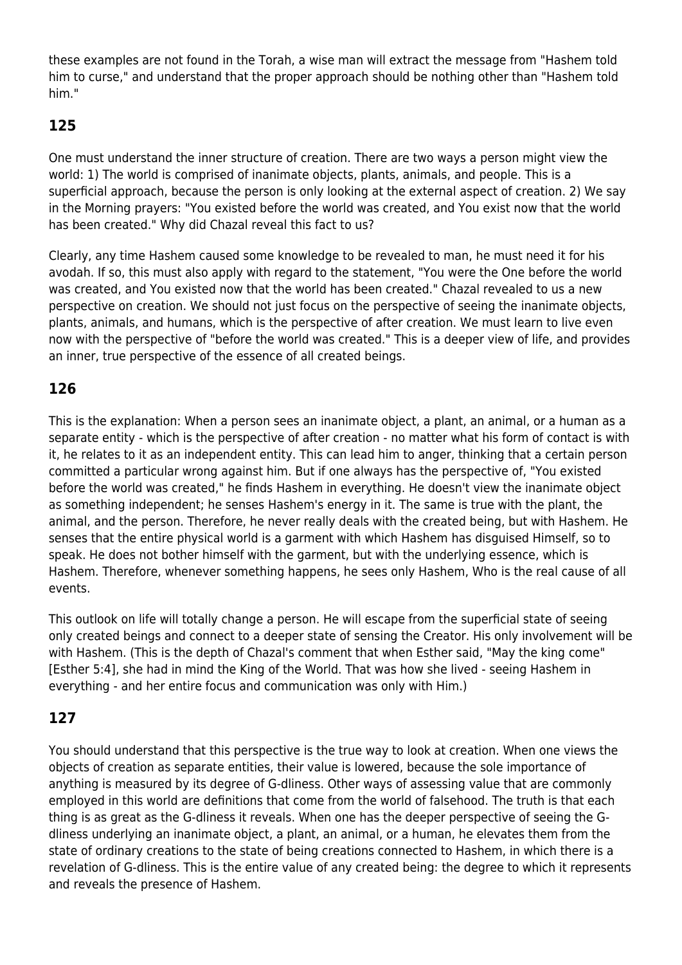these examples are not found in the Torah, a wise man will extract the message from "Hashem told him to curse," and understand that the proper approach should be nothing other than "Hashem told him."

### **125**

One must understand the inner structure of creation. There are two ways a person might view the world: 1) The world is comprised of inanimate objects, plants, animals, and people. This is a superficial approach, because the person is only looking at the external aspect of creation. 2) We say in the Morning prayers: "You existed before the world was created, and You exist now that the world has been created." Why did Chazal reveal this fact to us?

Clearly, any time Hashem caused some knowledge to be revealed to man, he must need it for his avodah. If so, this must also apply with regard to the statement, "You were the One before the world was created, and You existed now that the world has been created." Chazal revealed to us a new perspective on creation. We should not just focus on the perspective of seeing the inanimate objects, plants, animals, and humans, which is the perspective of after creation. We must learn to live even now with the perspective of "before the world was created." This is a deeper view of life, and provides an inner, true perspective of the essence of all created beings.

### **126**

This is the explanation: When a person sees an inanimate object, a plant, an animal, or a human as a separate entity - which is the perspective of after creation - no matter what his form of contact is with it, he relates to it as an independent entity. This can lead him to anger, thinking that a certain person committed a particular wrong against him. But if one always has the perspective of, "You existed before the world was created," he finds Hashem in everything. He doesn't view the inanimate object as something independent; he senses Hashem's energy in it. The same is true with the plant, the animal, and the person. Therefore, he never really deals with the created being, but with Hashem. He senses that the entire physical world is a garment with which Hashem has disguised Himself, so to speak. He does not bother himself with the garment, but with the underlying essence, which is Hashem. Therefore, whenever something happens, he sees only Hashem, Who is the real cause of all events.

This outlook on life will totally change a person. He will escape from the superficial state of seeing only created beings and connect to a deeper state of sensing the Creator. His only involvement will be with Hashem. (This is the depth of Chazal's comment that when Esther said, "May the king come" [Esther 5:4], she had in mind the King of the World. That was how she lived - seeing Hashem in everything - and her entire focus and communication was only with Him.)

### **127**

You should understand that this perspective is the true way to look at creation. When one views the objects of creation as separate entities, their value is lowered, because the sole importance of anything is measured by its degree of G-dliness. Other ways of assessing value that are commonly employed in this world are definitions that come from the world of falsehood. The truth is that each thing is as great as the G-dliness it reveals. When one has the deeper perspective of seeing the Gdliness underlying an inanimate object, a plant, an animal, or a human, he elevates them from the state of ordinary creations to the state of being creations connected to Hashem, in which there is a revelation of G-dliness. This is the entire value of any created being: the degree to which it represents and reveals the presence of Hashem.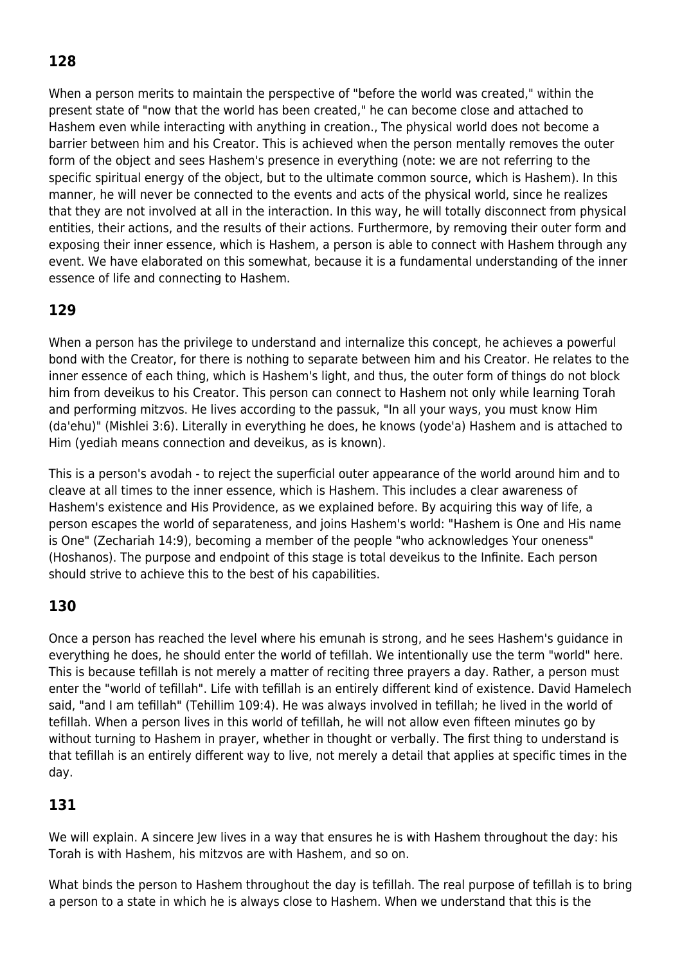## **128**

When a person merits to maintain the perspective of "before the world was created," within the present state of "now that the world has been created," he can become close and attached to Hashem even while interacting with anything in creation., The physical world does not become a barrier between him and his Creator. This is achieved when the person mentally removes the outer form of the object and sees Hashem's presence in everything (note: we are not referring to the specific spiritual energy of the object, but to the ultimate common source, which is Hashem). In this manner, he will never be connected to the events and acts of the physical world, since he realizes that they are not involved at all in the interaction. In this way, he will totally disconnect from physical entities, their actions, and the results of their actions. Furthermore, by removing their outer form and exposing their inner essence, which is Hashem, a person is able to connect with Hashem through any event. We have elaborated on this somewhat, because it is a fundamental understanding of the inner essence of life and connecting to Hashem.

### **129**

When a person has the privilege to understand and internalize this concept, he achieves a powerful bond with the Creator, for there is nothing to separate between him and his Creator. He relates to the inner essence of each thing, which is Hashem's light, and thus, the outer form of things do not block him from deveikus to his Creator. This person can connect to Hashem not only while learning Torah and performing mitzvos. He lives according to the passuk, "In all your ways, you must know Him (da'ehu)" (Mishlei 3:6). Literally in everything he does, he knows (yode'a) Hashem and is attached to Him (yediah means connection and deveikus, as is known).

This is a person's avodah - to reject the superficial outer appearance of the world around him and to cleave at all times to the inner essence, which is Hashem. This includes a clear awareness of Hashem's existence and His Providence, as we explained before. By acquiring this way of life, a person escapes the world of separateness, and joins Hashem's world: "Hashem is One and His name is One" (Zechariah 14:9), becoming a member of the people "who acknowledges Your oneness" (Hoshanos). The purpose and endpoint of this stage is total deveikus to the Infinite. Each person should strive to achieve this to the best of his capabilities.

### **130**

Once a person has reached the level where his emunah is strong, and he sees Hashem's guidance in everything he does, he should enter the world of tefillah. We intentionally use the term "world" here. This is because tefillah is not merely a matter of reciting three prayers a day. Rather, a person must enter the "world of tefillah". Life with tefillah is an entirely different kind of existence. David Hamelech said, "and I am tefillah" (Tehillim 109:4). He was always involved in tefillah; he lived in the world of tefillah. When a person lives in this world of tefillah, he will not allow even fifteen minutes go by without turning to Hashem in prayer, whether in thought or verbally. The first thing to understand is that tefillah is an entirely different way to live, not merely a detail that applies at specific times in the day.

### **131**

We will explain. A sincere Jew lives in a way that ensures he is with Hashem throughout the day: his Torah is with Hashem, his mitzvos are with Hashem, and so on.

What binds the person to Hashem throughout the day is tefillah. The real purpose of tefillah is to bring a person to a state in which he is always close to Hashem. When we understand that this is the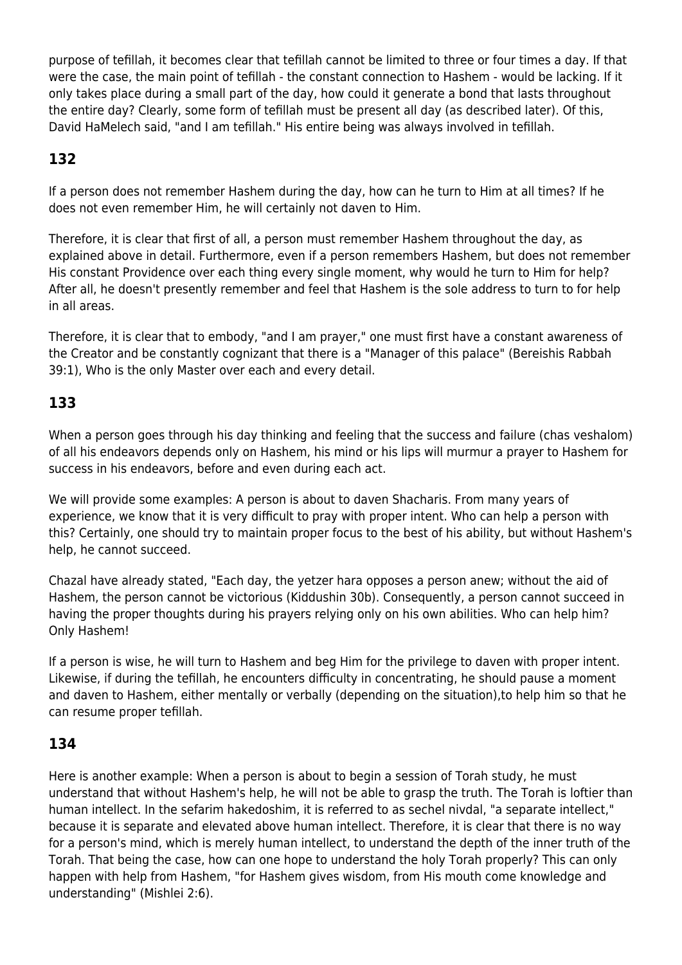purpose of tefillah, it becomes clear that tefillah cannot be limited to three or four times a day. If that were the case, the main point of tefillah - the constant connection to Hashem - would be lacking. If it only takes place during a small part of the day, how could it generate a bond that lasts throughout the entire day? Clearly, some form of tefillah must be present all day (as described later). Of this, David HaMelech said, "and I am tefillah." His entire being was always involved in tefillah.

### **132**

If a person does not remember Hashem during the day, how can he turn to Him at all times? If he does not even remember Him, he will certainly not daven to Him.

Therefore, it is clear that first of all, a person must remember Hashem throughout the day, as explained above in detail. Furthermore, even if a person remembers Hashem, but does not remember His constant Providence over each thing every single moment, why would he turn to Him for help? After all, he doesn't presently remember and feel that Hashem is the sole address to turn to for help in all areas.

Therefore, it is clear that to embody, "and I am prayer," one must first have a constant awareness of the Creator and be constantly cognizant that there is a "Manager of this palace" (Bereishis Rabbah 39:1), Who is the only Master over each and every detail.

### **133**

When a person goes through his day thinking and feeling that the success and failure (chas veshalom) of all his endeavors depends only on Hashem, his mind or his lips will murmur a prayer to Hashem for success in his endeavors, before and even during each act.

We will provide some examples: A person is about to daven Shacharis. From many years of experience, we know that it is very difficult to pray with proper intent. Who can help a person with this? Certainly, one should try to maintain proper focus to the best of his ability, but without Hashem's help, he cannot succeed.

Chazal have already stated, "Each day, the yetzer hara opposes a person anew; without the aid of Hashem, the person cannot be victorious (Kiddushin 30b). Consequently, a person cannot succeed in having the proper thoughts during his prayers relying only on his own abilities. Who can help him? Only Hashem!

If a person is wise, he will turn to Hashem and beg Him for the privilege to daven with proper intent. Likewise, if during the tefillah, he encounters difficulty in concentrating, he should pause a moment and daven to Hashem, either mentally or verbally (depending on the situation),to help him so that he can resume proper tefillah.

#### **134**

Here is another example: When a person is about to begin a session of Torah study, he must understand that without Hashem's help, he will not be able to grasp the truth. The Torah is loftier than human intellect. In the sefarim hakedoshim, it is referred to as sechel nivdal, "a separate intellect," because it is separate and elevated above human intellect. Therefore, it is clear that there is no way for a person's mind, which is merely human intellect, to understand the depth of the inner truth of the Torah. That being the case, how can one hope to understand the holy Torah properly? This can only happen with help from Hashem, "for Hashem gives wisdom, from His mouth come knowledge and understanding" (Mishlei 2:6).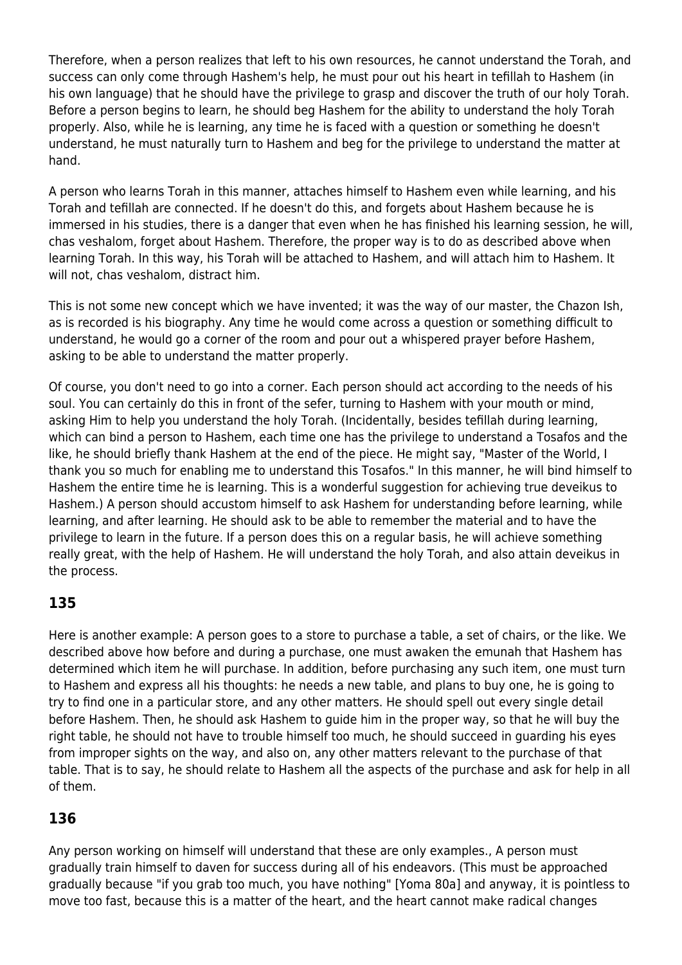Therefore, when a person realizes that left to his own resources, he cannot understand the Torah, and success can only come through Hashem's help, he must pour out his heart in tefillah to Hashem (in his own language) that he should have the privilege to grasp and discover the truth of our holy Torah. Before a person begins to learn, he should beg Hashem for the ability to understand the holy Torah properly. Also, while he is learning, any time he is faced with a question or something he doesn't understand, he must naturally turn to Hashem and beg for the privilege to understand the matter at hand.

A person who learns Torah in this manner, attaches himself to Hashem even while learning, and his Torah and tefillah are connected. If he doesn't do this, and forgets about Hashem because he is immersed in his studies, there is a danger that even when he has finished his learning session, he will, chas veshalom, forget about Hashem. Therefore, the proper way is to do as described above when learning Torah. In this way, his Torah will be attached to Hashem, and will attach him to Hashem. It will not, chas veshalom, distract him.

This is not some new concept which we have invented; it was the way of our master, the Chazon Ish, as is recorded is his biography. Any time he would come across a question or something difficult to understand, he would go a corner of the room and pour out a whispered prayer before Hashem, asking to be able to understand the matter properly.

Of course, you don't need to go into a corner. Each person should act according to the needs of his soul. You can certainly do this in front of the sefer, turning to Hashem with your mouth or mind, asking Him to help you understand the holy Torah. (Incidentally, besides tefillah during learning, which can bind a person to Hashem, each time one has the privilege to understand a Tosafos and the like, he should briefly thank Hashem at the end of the piece. He might say, "Master of the World, I thank you so much for enabling me to understand this Tosafos." In this manner, he will bind himself to Hashem the entire time he is learning. This is a wonderful suggestion for achieving true deveikus to Hashem.) A person should accustom himself to ask Hashem for understanding before learning, while learning, and after learning. He should ask to be able to remember the material and to have the privilege to learn in the future. If a person does this on a regular basis, he will achieve something really great, with the help of Hashem. He will understand the holy Torah, and also attain deveikus in the process.

### **135**

Here is another example: A person goes to a store to purchase a table, a set of chairs, or the like. We described above how before and during a purchase, one must awaken the emunah that Hashem has determined which item he will purchase. In addition, before purchasing any such item, one must turn to Hashem and express all his thoughts: he needs a new table, and plans to buy one, he is going to try to find one in a particular store, and any other matters. He should spell out every single detail before Hashem. Then, he should ask Hashem to guide him in the proper way, so that he will buy the right table, he should not have to trouble himself too much, he should succeed in guarding his eyes from improper sights on the way, and also on, any other matters relevant to the purchase of that table. That is to say, he should relate to Hashem all the aspects of the purchase and ask for help in all of them.

### **136**

Any person working on himself will understand that these are only examples., A person must gradually train himself to daven for success during all of his endeavors. (This must be approached gradually because "if you grab too much, you have nothing" [Yoma 80a] and anyway, it is pointless to move too fast, because this is a matter of the heart, and the heart cannot make radical changes